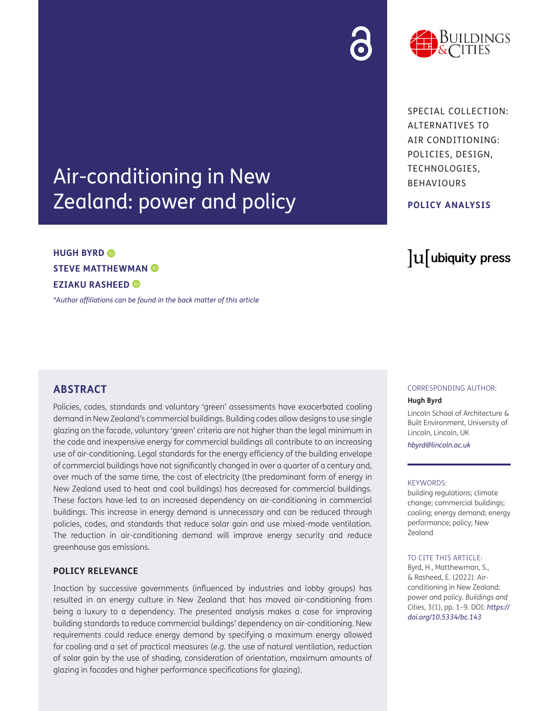# Air-conditioning in New Zealand: power and policy

# **HUGH BYRD STEVE MATTHEWMAN EZIAKU RASHEED**

*[\\*Author affiliations can be found in the back matter of this article](#page-6-0)*

# **ABSTRACT**

Policies, codes, standards and voluntary 'green' assessments have exacerbated cooling demand in New Zealand's commercial buildings. Building codes allow designs to use single glazing on the facade, voluntary 'green' criteria are not higher than the legal minimum in the code and inexpensive energy for commercial buildings all contribute to an increasing use of air-conditioning. Legal standards for the energy efficiency of the building envelope of commercial buildings have not significantly changed in over a quarter of a century and, over much of the same time, the cost of electricity (the predominant form of energy in New Zealand used to heat and cool buildings) has decreased for commercial buildings. These factors have led to an increased dependency on air-conditioning in commercial buildings. This increase in energy demand is unnecessary and can be reduced through policies, codes, and standards that reduce solar gain and use mixed-mode ventilation. The reduction in air-conditioning demand will improve energy security and reduce greenhouse gas emissions.

#### **POLICY RELEVANCE**

Inaction by successive governments (influenced by industries and lobby groups) has resulted in an energy culture in New Zealand that has moved air-conditioning from being a luxury to a dependency. The presented analysis makes a case for improving building standards to reduce commercial buildings' dependency on air-conditioning. New requirements could reduce energy demand by specifying a maximum energy allowed for cooling and a set of practical measures (*e.g.* the use of natural ventilation, reduction of solar gain by the use of shading, consideration of orientation, maximum amounts of glazing in facades and higher performance specifications for glazing).

#### CORRESPONDING AUTHOR:

#### **Hugh Byrd**

Lincoln School of Architecture & Built Environment, University of Lincoln, Lincoln, UK

*[hbyrd@lincoln.ac.uk](mailto:hbyrd@lincoln.ac.uk)*

#### KEYWORDS:

building regulations; climate change; commercial buildings; cooling; energy demand; energy performance; policy; New Zealand

#### TO CITE THIS ARTICLE:

Byrd, H., Matthewman, S., & Rasheed, E. (2022). Airconditioning in New Zealand: power and policy. *Buildings and Cities*, 3(1), pp. 1–9. DOI: *[https://](https://doi.org/10.5334/bc.143) [doi.org/10.5334/bc.143](https://doi.org/10.5334/bc.143)*

SPECIAL COLLECTION: ALTERNATIVES TO AIR CONDITIONING: POLICIES, DESIGN, TECHNOLOGIES, BEHAVIOURS

#### **POLICY ANALYSIS**

lu ubiquity press

jildings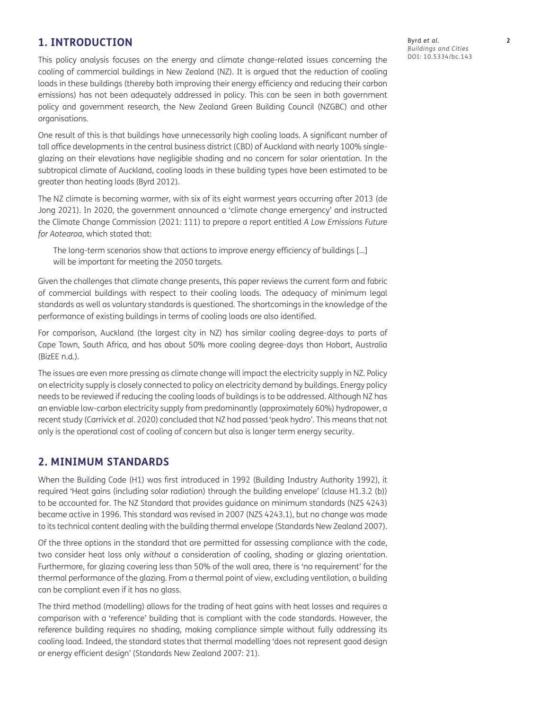# **1. INTRODUCTION**

This policy analysis focuses on the energy and climate change-related issues concerning the cooling of commercial buildings in New Zealand (NZ). It is argued that the reduction of cooling loads in these buildings (thereby both improving their energy efficiency and reducing their carbon emissions) has not been adequately addressed in policy. This can be seen in both government policy and government research, the New Zealand Green Building Council (NZGBC) and other organisations.

One result of this is that buildings have unnecessarily high cooling loads. A significant number of tall office developments in the central business district (CBD) of Auckland with nearly 100% singleglazing on their elevations have negligible shading and no concern for solar orientation. In the subtropical climate of Auckland, cooling loads in these building types have been estimated to be greater than heating loads ([Byrd 2012](#page-7-0)).

The NZ climate is becoming warmer, with six of its eight warmest years occurring after 2013 ([de](#page-7-0) [Jong 2021](#page-7-0)). In 2020, the government announced a 'climate change emergency' and instructed the [Climate Change Commission \(2021: 111\)](#page-7-0) to prepare a report entitled *A Low Emissions Future for Aotearoa*, which stated that:

The long-term scenarios show that actions to improve energy efficiency of buildings […] will be important for meeting the 2050 targets.

Given the challenges that climate change presents, this paper reviews the current form and fabric of commercial buildings with respect to their cooling loads. The adequacy of minimum legal standards as well as voluntary standards is questioned. The shortcomings in the knowledge of the performance of existing buildings in terms of cooling loads are also identified.

For comparison, Auckland (the largest city in NZ) has similar cooling degree-days to parts of Cape Town, South Africa, and has about 50% more cooling degree-days than Hobart, Australia [\(BizEE n.d.](#page-7-0)).

The issues are even more pressing as climate change will impact the electricity supply in NZ. Policy on electricity supply is closely connected to policy on electricity demand by buildings. Energy policy needs to be reviewed if reducing the cooling loads of buildings is to be addressed. Although NZ has an enviable low-carbon electricity supply from predominantly (approximately 60%) hydropower, a recent study ([Carrivick](#page-7-0) *et al.* 2020) concluded that NZ had passed 'peak hydro'. This means that not only is the operational cost of cooling of concern but also is longer term energy security.

### **2. MINIMUM STANDARDS**

When the Building Code (H1) was first introduced in 1992 [\(Building Industry Authority 1992\)](#page-7-0), it required 'Heat gains (including solar radiation) through the building envelope' (clause H1.3.2 (b)) to be accounted for. The NZ Standard that provides guidance on minimum standards (NZS 4243) became active in 1996. This standard was revised in 2007 (NZS 4243.1), but no change was made to its technical content dealing with the building thermal envelope ([Standards New Zealand 2007\)](#page-8-0).

Of the three options in the standard that are permitted for assessing compliance with the code, two consider heat loss only *without* a consideration of cooling, shading or glazing orientation. Furthermore, for glazing covering less than 50% of the wall area, there is 'no requirement' for the thermal performance of the glazing. From a thermal point of view, excluding ventilation, a building can be compliant even if it has no glass.

The third method (modelling) allows for the trading of heat gains with heat losses and requires a comparison with a 'reference' building that is compliant with the code standards. However, the reference building requires no shading, making compliance simple without fully addressing its cooling load. Indeed, the standard states that thermal modelling 'does not represent good design or energy efficient design' [\(Standards New Zealand 2007: 21](#page-8-0)).

Byrd *et al*. **2** *Buildings and Cities* DOI: [10.5334/bc.143](https://doi.org/10.5334/bc.143)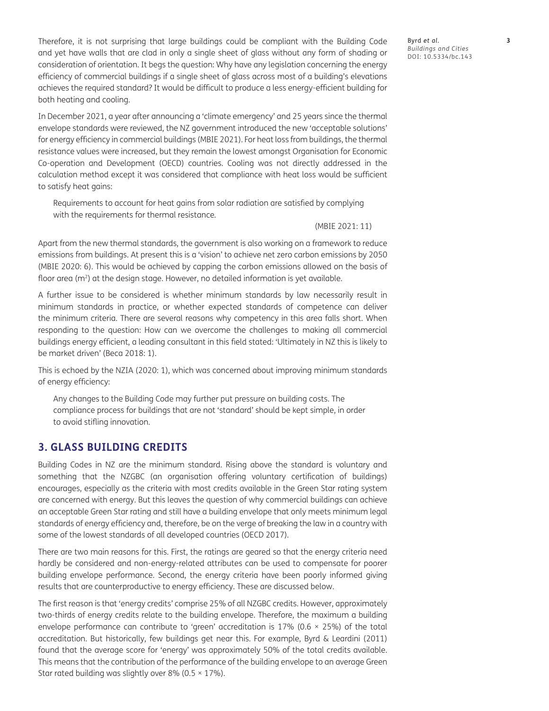Therefore, it is not surprising that large buildings could be compliant with the Building Code and yet have walls that are clad in only a single sheet of glass without any form of shading or consideration of orientation. It begs the question: Why have any legislation concerning the energy efficiency of commercial buildings if a single sheet of glass across most of a building's elevations achieves the required standard? It would be difficult to produce a less energy-efficient building for both heating and cooling.

In December 2021, a year after announcing a 'climate emergency' and 25 years since the thermal envelope standards were reviewed, the NZ government introduced the new 'acceptable solutions' for energy efficiency in commercial buildings [\(MBIE 2021\)](#page-7-0). For heat loss from buildings, the thermal resistance values were increased, but they remain the lowest amongst Organisation for Economic Co-operation and Development (OECD) countries. Cooling was not directly addressed in the calculation method except it was considered that compliance with heat loss would be sufficient to satisfy heat gains:

Requirements to account for heat gains from solar radiation are satisfied by complying with the requirements for thermal resistance*.*

[\(MBIE 2021: 11](#page-7-0))

Apart from the new thermal standards, the government is also working on a framework to reduce emissions from buildings. At present this is a 'vision' to achieve net zero carbon emissions by 2050 [\(MBIE 2020: 6\)](#page-7-0). This would be achieved by capping the carbon emissions allowed on the basis of floor area ( $m<sup>2</sup>$ ) at the design stage. However, no detailed information is yet available.

A further issue to be considered is whether minimum standards by law necessarily result in minimum standards in practice, or whether expected standards of competence can deliver the minimum criteria. There are several reasons why competency in this area falls short. When responding to the question: How can we overcome the challenges to making all commercial buildings energy efficient, a leading consultant in this field stated: 'Ultimately in NZ this is likely to be market driven' ([Beca 2018: 1\)](#page-7-0).

This is echoed by the [NZIA \(2020: 1\),](#page-8-0) which was concerned about improving minimum standards of energy efficiency:

Any changes to the Building Code may further put pressure on building costs. The compliance process for buildings that are not 'standard' should be kept simple, in order to avoid stifling innovation.

#### **3. GLASS BUILDING CREDITS**

Building Codes in NZ are the minimum standard. Rising above the standard is voluntary and something that the NZGBC (an organisation offering voluntary certification of buildings) encourages, especially as the criteria with most credits available in the Green Star rating system are concerned with energy. But this leaves the question of why commercial buildings can achieve an acceptable Green Star rating and still have a building envelope that only meets minimum legal standards of energy efficiency and, therefore, be on the verge of breaking the law in a country with some of the lowest standards of all developed countries [\(OECD 2017](#page-8-0)).

There are two main reasons for this. First, the ratings are geared so that the energy criteria need hardly be considered and non-energy-related attributes can be used to compensate for poorer building envelope performance. Second, the energy criteria have been poorly informed giving results that are counterproductive to energy efficiency. These are discussed below.

The first reason is that 'energy credits' comprise 25% of all NZGBC credits. However, approximately two-thirds of energy credits relate to the building envelope. Therefore, the maximum a building envelope performance can contribute to 'green' accreditation is 17% (0.6  $\times$  25%) of the total accreditation. But historically, few buildings get near this. For example, [Byrd & Leardini \(2011\)](#page-7-0) found that the average score for 'energy' was approximately 50% of the total credits available. This means that the contribution of the performance of the building envelope to an average Green Star rated building was slightly over 8% (0.5  $\times$  17%).

Byrd *et al*. **3** *Buildings and Cities* DOI: [10.5334/bc.143](https://doi.org/10.5334/bc.143)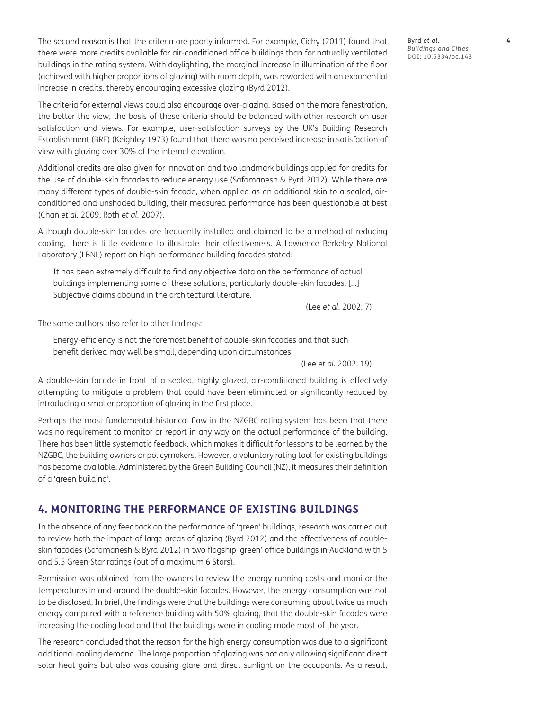The second reason is that the criteria are poorly informed. For example, [Cichy \(2011\)](#page-7-0) found that there were more credits available for air-conditioned office buildings than for naturally ventilated buildings in the rating system. With daylighting, the marginal increase in illumination of the floor (achieved with higher proportions of glazing) with room depth, was rewarded with an exponential increase in credits, thereby encouraging excessive glazing ([Byrd 2012](#page-7-0)).

The criteria for external views could also encourage over-glazing. Based on the more fenestration, the better the view, the basis of these criteria should be balanced with other research on user satisfaction and views. For example, user-satisfaction surveys by the UK's Building Research Establishment (BRE) [\(Keighley 1973\)](#page-7-0) found that there was no perceived increase in satisfaction of view with glazing over 30% of the internal elevation.

Additional credits are also given for innovation and two landmark buildings applied for credits for the use of double-skin facades to reduce energy use ([Safamanesh & Byrd 2012](#page-8-0)). While there are many different types of double-skin facade, when applied as an additional skin to a sealed, airconditioned and unshaded building, their measured performance has been questionable at best [\(Chan](#page-7-0) *et al.* 2009; Roth *et al.* [2007](#page-8-0)).

Although double-skin facades are frequently installed and claimed to be a method of reducing cooling, there is little evidence to illustrate their effectiveness. A Lawrence Berkeley National Laboratory (LBNL) report on high-performance building facades stated:

It has been extremely difficult to find any objective data on the performance of actual buildings implementing some of these solutions, particularly double-skin facades. […] Subjective claims abound in the architectural literature.

(Lee *et al.* [2002: 7](#page-7-0))

The same authors also refer to other findings:

Energy-efficiency is not the foremost benefit of double-skin facades and that such benefit derived may well be small, depending upon circumstances.

(Lee *et al.* [2002: 19](#page-7-0))

A double-skin facade in front of a sealed, highly glazed, air-conditioned building is effectively attempting to mitigate a problem that could have been eliminated or significantly reduced by introducing a smaller proportion of glazing in the first place.

Perhaps the most fundamental historical flaw in the NZGBC rating system has been that there was no requirement to monitor or report in any way on the actual performance of the building. There has been little systematic feedback, which makes it difficult for lessons to be learned by the NZGBC, the building owners or policymakers. However, a voluntary rating tool for existing buildings has become available. Administered by the Green Building Council (NZ), it measures their definition of a 'green building'.

### **4. MONITORING THE PERFORMANCE OF EXISTING BUILDINGS**

In the absence of any feedback on the performance of 'green' buildings, research was carried out to review both the impact of large areas of glazing ([Byrd 2012\)](#page-7-0) and the effectiveness of doubleskin facades [\(Safamanesh & Byrd 2012](#page-8-0)) in two flagship 'green' office buildings in Auckland with 5 and 5.5 Green Star ratings (out of a maximum 6 Stars).

Permission was obtained from the owners to review the energy running costs and monitor the temperatures in and around the double-skin facades. However, the energy consumption was not to be disclosed. In brief, the findings were that the buildings were consuming about twice as much energy compared with a reference building with 50% glazing, that the double-skin facades were increasing the cooling load and that the buildings were in cooling mode most of the year.

The research concluded that the reason for the high energy consumption was due to a significant additional cooling demand. The large proportion of glazing was not only allowing significant direct solar heat gains but also was causing glare and direct sunlight on the occupants. As a result,

Byrd *et al*. **4** *Buildings and Cities* DOI: [10.5334/bc.143](https://doi.org/10.5334/bc.143)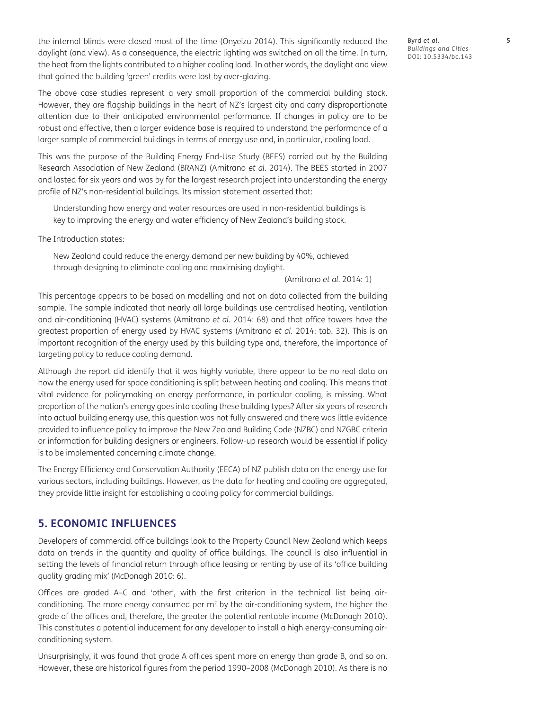the internal blinds were closed most of the time [\(Onyeizu 2014](#page-8-0)). This significantly reduced the daylight (and view). As a consequence, the electric lighting was switched on all the time. In turn, the heat from the lights contributed to a higher cooling load. In other words, the daylight and view that gained the building 'green' credits were lost by over-glazing.

The above case studies represent a very small proportion of the commercial building stock. However, they are flagship buildings in the heart of NZ's largest city and carry disproportionate attention due to their anticipated environmental performance. If changes in policy are to be robust and effective, then a larger evidence base is required to understand the performance of a larger sample of commercial buildings in terms of energy use and, in particular, cooling load.

This was the purpose of the Building Energy End-Use Study (BEES) carried out by the Building Research Association of New Zealand (BRANZ) ([Amitrano](#page-7-0) *et al.* 2014). The BEES started in 2007 and lasted for six years and was by far the largest research project into understanding the energy profile of NZ's non-residential buildings. Its mission statement asserted that:

Understanding how energy and water resources are used in non-residential buildings is key to improving the energy and water efficiency of New Zealand's building stock.

The Introduction states:

New Zealand could reduce the energy demand per new building by 40%, achieved through designing to eliminate cooling and maximising daylight.

[\(Amitrano](#page-7-0) *et al.* 2014: 1)

This percentage appears to be based on modelling and not on data collected from the building sample. The sample indicated that nearly all large buildings use centralised heating, ventilation and air-conditioning (HVAC) systems ([Amitrano](#page-7-0) *et al.* 2014: 68) and that office towers have the greatest proportion of energy used by HVAC systems [\(Amitrano](#page-7-0) *et al.* 2014: tab. 32). This is an important recognition of the energy used by this building type and, therefore, the importance of targeting policy to reduce cooling demand.

Although the report did identify that it was highly variable, there appear to be no real data on how the energy used for space conditioning is split between heating and cooling. This means that vital evidence for policymaking on energy performance, in particular cooling, is missing. What proportion of the nation's energy goes into cooling these building types? After six years of research into actual building energy use, this question was not fully answered and there was little evidence provided to influence policy to improve the New Zealand Building Code (NZBC) and NZGBC criteria or information for building designers or engineers. Follow-up research would be essential if policy is to be implemented concerning climate change.

The Energy Efficiency and Conservation Authority (EECA) of NZ publish data on the energy use for various sectors, including buildings. However, as the data for heating and cooling are aggregated, they provide little insight for establishing a cooling policy for commercial buildings.

#### **5. ECONOMIC INFLUENCES**

Developers of commercial office buildings look to the Property Council New Zealand which keeps data on trends in the quantity and quality of office buildings. The council is also influential in setting the levels of financial return through office leasing or renting by use of its 'office building quality grading mix' [\(McDonagh 2010: 6](#page-8-0)).

Offices are graded A–C and 'other', with the first criterion in the technical list being airconditioning. The more energy consumed per  $m<sup>2</sup>$  by the air-conditioning system, the higher the grade of the offices and, therefore, the greater the potential rentable income ([McDonagh 2010\)](#page-8-0). This constitutes a potential inducement for any developer to install a high energy-consuming airconditioning system.

Unsurprisingly, it was found that grade A offices spent more on energy than grade B, and so on. However, these are historical figures from the period 1990–2008 [\(McDonagh 2010\)](#page-8-0). As there is no Byrd *et al*. **5** *Buildings and Cities* DOI: [10.5334/bc.143](https://doi.org/10.5334/bc.143)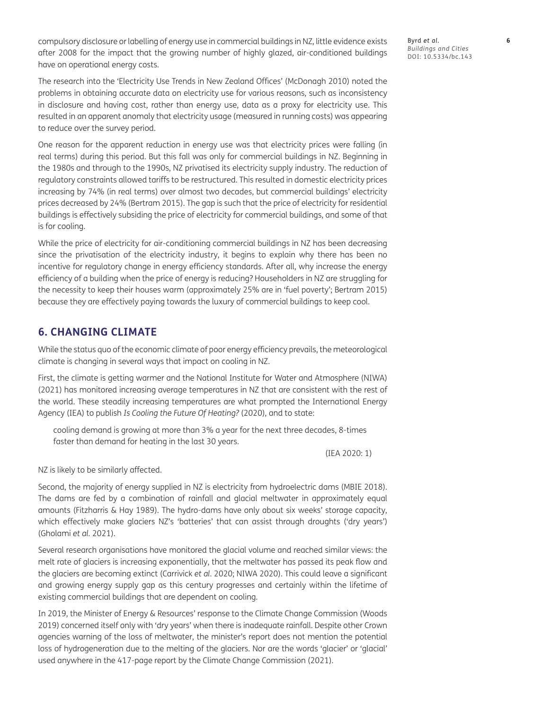compulsory disclosure or labelling of energy use in commercial buildings in NZ, little evidence exists after 2008 for the impact that the growing number of highly glazed, air-conditioned buildings have on operational energy costs.

The research into the 'Electricity Use Trends in New Zealand Offices' ([McDonagh 2010\)](#page-8-0) noted the problems in obtaining accurate data on electricity use for various reasons, such as inconsistency in disclosure and having cost, rather than energy use, data as a proxy for electricity use. This resulted in an apparent anomaly that electricity usage (measured in running costs) was appearing to reduce over the survey period.

One reason for the apparent reduction in energy use was that electricity prices were falling (in real terms) during this period. But this fall was only for commercial buildings in NZ. Beginning in the 1980s and through to the 1990s, NZ privatised its electricity supply industry. The reduction of regulatory constraints allowed tariffs to be restructured. This resulted in domestic electricity prices increasing by 74% (in real terms) over almost two decades, but commercial buildings' electricity prices decreased by 24% ([Bertram 2015](#page-7-0)). The gap is such that the price of electricity for residential buildings is effectively subsiding the price of electricity for commercial buildings, and some of that is for cooling.

While the price of electricity for air-conditioning commercial buildings in NZ has been decreasing since the privatisation of the electricity industry, it begins to explain why there has been no incentive for regulatory change in energy efficiency standards. After all, why increase the energy efficiency of a building when the price of energy is reducing? Householders in NZ are struggling for the necessity to keep their houses warm (approximately 25% are in 'fuel poverty'; [Bertram 2015](#page-7-0)) because they are effectively paying towards the luxury of commercial buildings to keep cool.

## **6. CHANGING CLIMATE**

While the status quo of the economic climate of poor energy efficiency prevails, the meteorological climate is changing in several ways that impact on cooling in NZ.

First, the climate is getting warmer and the National Institute for Water and Atmosphere [\(NIWA\)](#page-8-0) [\(2021\)](#page-8-0) has monitored increasing average temperatures in NZ that are consistent with the rest of the world. These steadily increasing temperatures are what prompted the International Energy Agency (IEA) to publish *Is Cooling the Future Of Heating?* (2020), and to state:

cooling demand is growing at more than 3% a year for the next three decades, 8-times faster than demand for heating in the last 30 years.

([IEA 2020: 1](#page-7-0))

NZ is likely to be similarly affected.

Second, the majority of energy supplied in NZ is electricity from hydroelectric dams ([MBIE 2018\)](#page-7-0). The dams are fed by a combination of rainfall and glacial meltwater in approximately equal amounts ([Fitzharris & Hay 1989](#page-7-0)). The hydro-dams have only about six weeks' storage capacity, which effectively make glaciers NZ's 'batteries' that can assist through droughts ('dry years') [\(Gholami](#page-7-0) *et al.* 2021).

Several research organisations have monitored the glacial volume and reached similar views: the melt rate of glaciers is increasing exponentially, that the meltwater has passed its peak flow and the glaciers are becoming extinct [\(Carrivick](#page-7-0) *et al.* 2020; [NIWA 2020](#page-8-0)). This could leave a significant and growing energy supply gap as this century progresses and certainly within the lifetime of existing commercial buildings that are dependent on cooling.

In 2019, the Minister of Energy & Resources' response to the Climate Change Commission [\(Woods](#page-8-0) [2019](#page-8-0)) concerned itself only with 'dry years' when there is inadequate rainfall. Despite other Crown agencies warning of the loss of meltwater, the minister's report does not mention the potential loss of hydrogeneration due to the melting of the glaciers. Nor are the words 'glacier' or 'glacial' used anywhere in the 417-page report by the [Climate Change Commission \(2021\).](#page-7-0)

Byrd *et al*. **6** *Buildings and Cities* DOI: [10.5334/bc.143](https://doi.org/10.5334/bc.143)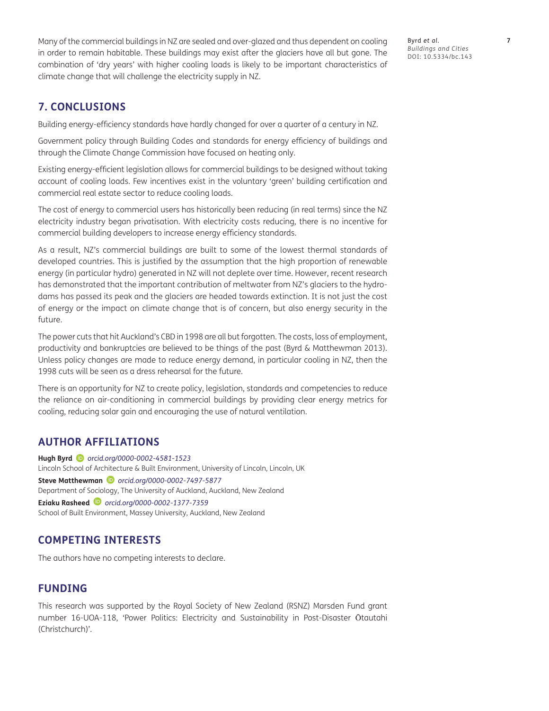Many of the commercial buildings in NZ are sealed and over-glazed and thus dependent on cooling in order to remain habitable. These buildings may exist after the glaciers have all but gone. The combination of 'dry years' with higher cooling loads is likely to be important characteristics of climate change that will challenge the electricity supply in NZ.

Byrd *et al*. **7** *Buildings and Cities* DOI: [10.5334/bc.143](https://doi.org/10.5334/bc.143)

# **7. CONCLUSIONS**

Building energy-efficiency standards have hardly changed for over a quarter of a century in NZ.

Government policy through Building Codes and standards for energy efficiency of buildings and through the Climate Change Commission have focused on heating only.

Existing energy-efficient legislation allows for commercial buildings to be designed without taking account of cooling loads. Few incentives exist in the voluntary 'green' building certification and commercial real estate sector to reduce cooling loads.

The cost of energy to commercial users has historically been reducing (in real terms) since the NZ electricity industry began privatisation. With electricity costs reducing, there is no incentive for commercial building developers to increase energy efficiency standards.

As a result, NZ's commercial buildings are built to some of the lowest thermal standards of developed countries. This is justified by the assumption that the high proportion of renewable energy (in particular hydro) generated in NZ will not deplete over time. However, recent research has demonstrated that the important contribution of meltwater from NZ's glaciers to the hydrodams has passed its peak and the glaciers are headed towards extinction. It is not just the cost of energy or the impact on climate change that is of concern, but also energy security in the future.

The power cuts that hit Auckland's CBD in 1998 are all but forgotten. The costs, loss of employment, productivity and bankruptcies are believed to be things of the past [\(Byrd & Matthewman 2013\)](#page-7-0). Unless policy changes are made to reduce energy demand, in particular cooling in NZ, then the 1998 cuts will be seen as a dress rehearsal for the future.

There is an opportunity for NZ to create policy, legislation, standards and competencies to reduce the reliance on air-conditioning in commercial buildings by providing clear energy metrics for cooling, reducing solar gain and encouraging the use of natural ventilation.

### <span id="page-6-0"></span>**AUTHOR AFFILIATIONS**

**Hugh Byrd** *[orcid.org/0000-0002-4581-1523](http://orcid.org/0000-0002-4581-1523)* Lincoln School of Architecture & Built Environment, University of Lincoln, Lincoln, UK **Steve Matthewman** *[orcid.org/0000-0002-7497-5877](http://orcid.org/0000-0002-7497-5877)* Department of Sociology, The University of Auckland, Auckland, New Zealand **Eziaku Rasheed** *[orcid.org/0000-0002-1377-7359](http://orcid.org/0000-0002-1377-7359)* School of Built Environment, Massey University, Auckland, New Zealand

# **COMPETING INTERESTS**

The authors have no competing interests to declare.

# **FUNDING**

This research was supported by the Royal Society of New Zealand (RSNZ) Marsden Fund grant number 16-UOA-118, 'Power Politics: Electricity and Sustainability in Post-Disaster Ōtautahi (Christchurch)'.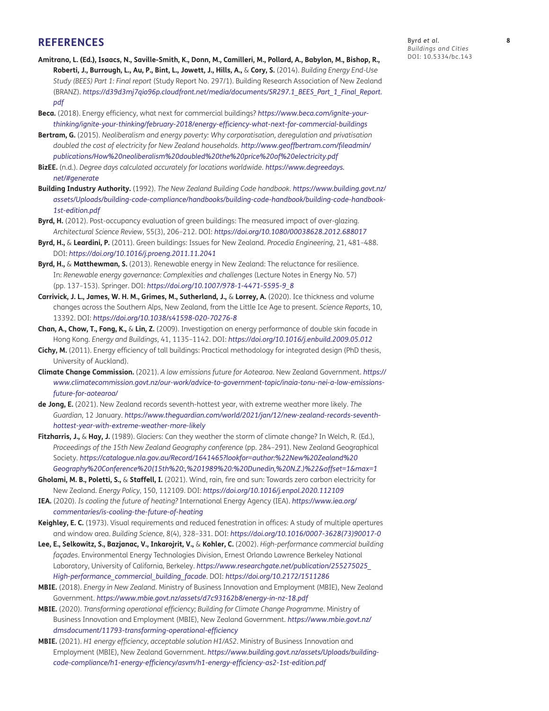#### <span id="page-7-0"></span>**REFERENCES**

- **Amitrano, L. (Ed.), Isaacs, N., Saville-Smith, K., Donn, M., Camilleri, M., Pollard, A., Babylon, M., Bishop, R., Roberti, J., Burrough, L., Au, P., Bint, L., Jowett, J., Hills, A.,** & **Cory, S.** (2014). *Building Energy End-Use Study (BEES) Part 1: Final report* (Study Report No. 297/1). Building Research Association of New Zealand (BRANZ). *[https://d39d3mj7qio96p.cloudfront.net/media/documents/SR297.1\\_BEES\\_Part\\_1\\_Final\\_Report.](https://d39d3mj7qio96p.cloudfront.net/media/documents/SR297.1_BEES_Part_1_Final_Report.pdf) [pdf](https://d39d3mj7qio96p.cloudfront.net/media/documents/SR297.1_BEES_Part_1_Final_Report.pdf)*
- **Beca.** (2018). Energy efficiency, what next for commercial buildings? *[https://www.beca.com/ignite-your](https://www.beca.com/ignite-your-thinking/ignite-your-thinking/february-2018/energy-efficiency-what-next-for-commercial-buildings)[thinking/ignite-your-thinking/february-2018/energy-efficiency-what-next-for-commercial-buildings](https://www.beca.com/ignite-your-thinking/ignite-your-thinking/february-2018/energy-efficiency-what-next-for-commercial-buildings)*
- **Bertram, G.** (2015). *Neoliberalism and energy poverty: Why corporatisation, deregulation and privatisation doubled the cost of electricity for New Zealand households*. *[http://www.geoffbertram.com/fileadmin/](http://www.geoffbertram.com/fileadmin/publications/How%20neoliberalism%20doubled%20the%20price%20of%20electricity.pdf) [publications/How%20neoliberalism%20doubled%20the%20price%20of%20electricity.pdf](http://www.geoffbertram.com/fileadmin/publications/How%20neoliberalism%20doubled%20the%20price%20of%20electricity.pdf)*
- **BizEE.** (n.d.). *Degree days calculated accurately for locations worldwide*. *[https://www.degreedays.](https://www.degreedays.net/#generate) [net/#generate](https://www.degreedays.net/#generate)*
- **Building Industry Authority.** (1992). *The New Zealand Building Code handbook*. *[https://www.building.govt.nz/](https://www.building.govt.nz/assets/Uploads/building-code-compliance/handbooks/building-code-handbook/building-code-handbook-1st-edition.pdf) [assets/Uploads/building-code-compliance/handbooks/building-code-handbook/building-code-handbook-](https://www.building.govt.nz/assets/Uploads/building-code-compliance/handbooks/building-code-handbook/building-code-handbook-1st-edition.pdf)[1st-edition.pdf](https://www.building.govt.nz/assets/Uploads/building-code-compliance/handbooks/building-code-handbook/building-code-handbook-1st-edition.pdf)*
- **Byrd, H.** (2012). Post-occupancy evaluation of green buildings: The measured impact of over-glazing. *Architectural Science Review*, 55(3), 206–212. DOI: *<https://doi.org/10.1080/00038628.2012.688017>*
- **Byrd, H.,** & **Leardini, P.** (2011). Green buildings: Issues for New Zealand. *Procedia Engineering*, 21, 481–488. DOI: *<https://doi.org/10.1016/j.proeng.2011.11.2041>*
- **Byrd, H.,** & **Matthewman, S.** (2013). Renewable energy in New Zealand: The reluctance for resilience. In: *Renewable energy governance: Complexities and challenges* (Lecture Notes in Energy No. 57) (pp. 137–153). Springer. DOI: *[https://doi.org/10.1007/978-1-4471-5595-9\\_8](https://doi.org/10.1007/978-1-4471-5595-9_8)*
- **Carrivick, J. L., James, W. H. M., Grimes, M., Sutherland, J.,** & **Lorrey, A.** (2020). Ice thickness and volume changes across the Southern Alps, New Zealand, from the Little Ice Age to present. *Science Reports*, 10, 13392. DOI: *<https://doi.org/10.1038/s41598-020-70276-8>*
- **Chan, A., Chow, T., Fong, K.,** & **Lin, Z.** (2009). Investigation on energy performance of double skin facade in Hong Kong. *Energy and Buildings*, 41, 1135–1142. DOI: *<https://doi.org/10.1016/j.enbuild.2009.05.012>*
- **Cichy, M.** (2011). Energy efficiency of tall buildings: Practical methodology for integrated design (PhD thesis, University of Auckland).
- **Climate Change Commission.** (2021). *A low emissions future for Aotearoa*. New Zealand Government. *[https://](https://www.climatecommission.govt.nz/our-work/advice-to-government-topic/inaia-tonu-nei-a-low-emissions-future-for-aotearoa/) [www.climatecommission.govt.nz/our-work/advice-to-government-topic/inaia-tonu-nei-a-low-emissions](https://www.climatecommission.govt.nz/our-work/advice-to-government-topic/inaia-tonu-nei-a-low-emissions-future-for-aotearoa/)[future-for-aotearoa/](https://www.climatecommission.govt.nz/our-work/advice-to-government-topic/inaia-tonu-nei-a-low-emissions-future-for-aotearoa/)*
- **de Jong, E.** (2021). New Zealand records seventh-hottest year, with extreme weather more likely. *The Guardian*, 12 January. *[https://www.theguardian.com/world/2021/jan/12/new-zealand-records-seventh](https://www.theguardian.com/world/2021/jan/12/new-zealand-records-seventh-hottest-year-with-extreme-weather-more-likely)[hottest-year-with-extreme-weather-more-likely](https://www.theguardian.com/world/2021/jan/12/new-zealand-records-seventh-hottest-year-with-extreme-weather-more-likely)*
- **Fitzharris, J.,** & **Hay, J.** (1989). Glaciers: Can they weather the storm of climate change? In Welch, R. (Ed.), *Proceedings of the 15th New Zealand Geography conference* (pp. 284–291). New Zealand Geographical Society. *[https://catalogue.nla.gov.au/Record/1641465?lookfor=author:%22New%20Zealand%20](https://catalogue.nla.gov.au/Record/1641465?lookfor=author:%22New%20Zealand%20Geography%20Conference%20(15th%20:,%201989%20:%20Dunedin,%20N.Z.)%22&offset=1&max=1) [Geography%20Conference%20\(15th%20:,%201989%20:%20Dunedin,%20N.Z.\)%22&offset=1&max=1](https://catalogue.nla.gov.au/Record/1641465?lookfor=author:%22New%20Zealand%20Geography%20Conference%20(15th%20:,%201989%20:%20Dunedin,%20N.Z.)%22&offset=1&max=1)*
- **Gholami, M. B., Poletti, S.,** & **Staffell, I.** (2021). Wind, rain, fire and sun: Towards zero carbon electricity for New Zealand. *Energy Policy*, 150, 112109. DOI: *<https://doi.org/10.1016/j.enpol.2020.112109>*
- **IEA.** (2020). *Is cooling the future of heating?* International Energy Agency (IEA). *[https://www.iea.org/](https://www.iea.org/commentaries/is-cooling-the-future-of-heating) [commentaries/is-cooling-the-future-of-heating](https://www.iea.org/commentaries/is-cooling-the-future-of-heating)*
- **Keighley, E. C.** (1973). Visual requirements and reduced fenestration in offices: A study of multiple apertures and window area. *Building Science*, 8(4), 328–331. DOI: *[https://doi.org/10.1016/0007-3628\(73\)90017-0](https://doi.org/10.1016/0007-3628(73)90017-0)*
- **Lee, E., Selkowitz, S., Bazjanac, V., Inkarojrit, V.,** & **Kohler, C.** (2002). *High-performance commercial building façades*. Environmental Energy Technologies Division, Ernest Orlando Lawrence Berkeley National Laboratory, University of California, Berkeley. *[https://www.researchgate.net/publication/255275025\\_](https://www.researchgate.net/publication/255275025_High-performance_commercial_building_facade) [High-performance\\_commercial\\_building\\_facade](https://www.researchgate.net/publication/255275025_High-performance_commercial_building_facade)*. DOI: *<https://doi.org/10.2172/1511286>*
- **MBIE.** (2018). *Energy in New Zealand*. Ministry of Business Innovation and Employment (MBIE), New Zealand Government. *<https://www.mbie.govt.nz/assets/d7c93162b8/energy-in-nz-18.pdf>*
- **MBIE.** (2020). *Transforming operational efficiency; Building for Climate Change Programme*. Ministry of Business Innovation and Employment (MBIE), New Zealand Government. *[https://www.mbie.govt.nz/](https://www.mbie.govt.nz/dmsdocument/11793-transforming-operational-efficiency) [dmsdocument/11793-transforming-operational-efficiency](https://www.mbie.govt.nz/dmsdocument/11793-transforming-operational-efficiency)*
- **MBIE.** (2021). *H1 energy efficiency, acceptable solution H1/AS2*. Ministry of Business Innovation and Employment (MBIE), New Zealand Government. *[https://www.building.govt.nz/assets/Uploads/building](https://www.building.govt.nz/assets/Uploads/building-code-compliance/h1-energy-efficiency/asvm/h1-energy-efficiency-as2-1st-edition.pdf)[code-compliance/h1-energy-efficiency/asvm/h1-energy-efficiency-as2-1st-edition.pdf](https://www.building.govt.nz/assets/Uploads/building-code-compliance/h1-energy-efficiency/asvm/h1-energy-efficiency-as2-1st-edition.pdf)*

Byrd *et al*. **8** *Buildings and Cities* DOI: [10.5334/bc.143](https://doi.org/10.5334/bc.143)